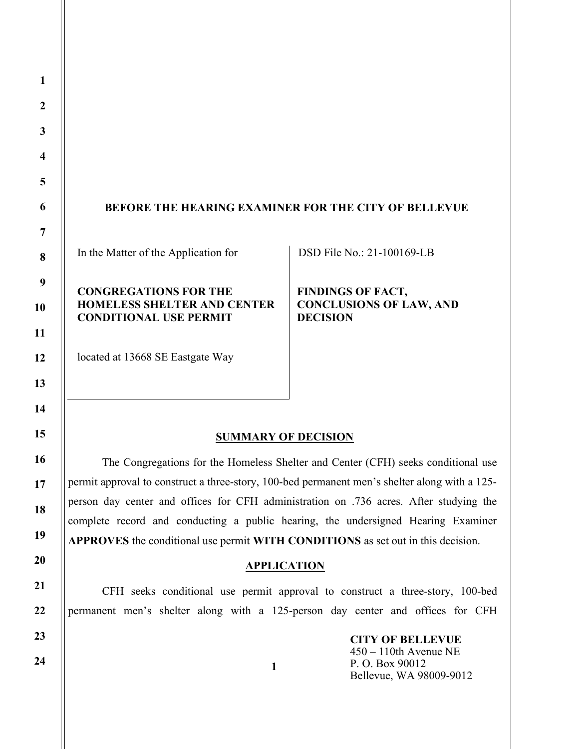# BEFORE THE HEARING EXAMINER FOR THE CITY OF BELLEVUE

In the Matter of the Application for

# CONGREGATIONS FOR THE HOMELESS SHELTER AND CENTER CONDITIONAL USE PERMIT

# located at 13668 SE Eastgate Way

## DSD File No.: 21-100169-LB

FINDINGS OF FACT, CONCLUSIONS OF LAW, AND **DECISION** 

# SUMMARY OF DECISION

The Congregations for the Homeless Shelter and Center (CFH) seeks conditional use permit approval to construct a three-story, 100-bed permanent men's shelter along with a 125 person day center and offices for CFH administration on .736 acres. After studying the complete record and conducting a public hearing, the undersigned Hearing Examiner APPROVES the conditional use permit WITH CONDITIONS as set out in this decision.

#### APPLICATION

CFH seeks conditional use permit approval to construct a three-story, 100-bed permanent men's shelter along with a 125-person day center and offices for CFH

1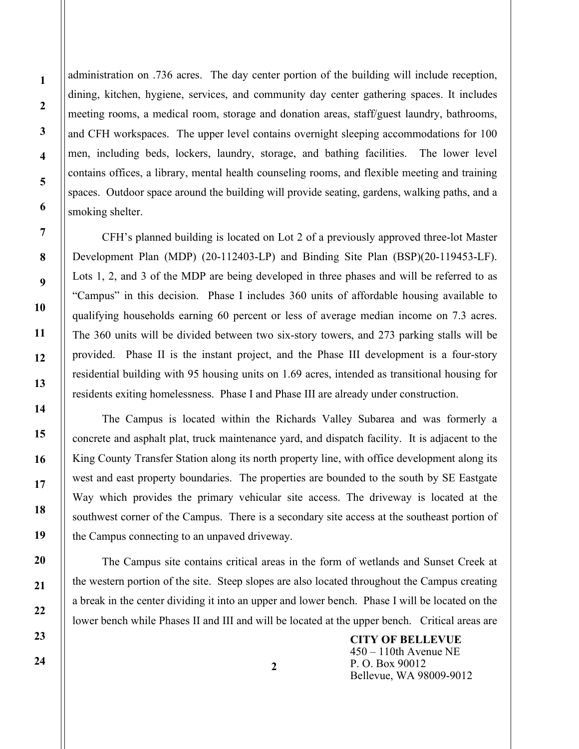administration on .736 acres. The day center portion of the building will include reception, dining, kitchen, hygiene, services, and community day center gathering spaces. It includes meeting rooms, a medical room, storage and donation areas, staff/guest laundry, bathrooms, and CFH workspaces. The upper level contains overnight sleeping accommodations for 100 men, including beds, lockers, laundry, storage, and bathing facilities. The lower level contains offices, a library, mental health counseling rooms, and flexible meeting and training spaces. Outdoor space around the building will provide seating, gardens, walking paths, and a smoking shelter.

 CFH's planned building is located on Lot 2 of a previously approved three-lot Master Development Plan (MDP) (20-112403-LP) and Binding Site Plan (BSP)(20-119453-LF). Lots 1, 2, and 3 of the MDP are being developed in three phases and will be referred to as "Campus" in this decision. Phase I includes 360 units of affordable housing available to qualifying households earning 60 percent or less of average median income on 7.3 acres. The 360 units will be divided between two six-story towers, and 273 parking stalls will be provided. Phase II is the instant project, and the Phase III development is a four-story residential building with 95 housing units on 1.69 acres, intended as transitional housing for residents exiting homelessness. Phase I and Phase III are already under construction.

 The Campus is located within the Richards Valley Subarea and was formerly a concrete and asphalt plat, truck maintenance yard, and dispatch facility. It is adjacent to the King County Transfer Station along its north property line, with office development along its west and east property boundaries. The properties are bounded to the south by SE Eastgate Way which provides the primary vehicular site access. The driveway is located at the southwest corner of the Campus. There is a secondary site access at the southeast portion of the Campus connecting to an unpaved driveway.

 The Campus site contains critical areas in the form of wetlands and Sunset Creek at the western portion of the site. Steep slopes are also located throughout the Campus creating a break in the center dividing it into an upper and lower bench. Phase I will be located on the lower bench while Phases II and III and will be located at the upper bench. Critical areas are

> CITY OF BELLEVUE 450 – 110th Avenue NE P. O. Box 90012 Bellevue, WA 98009-9012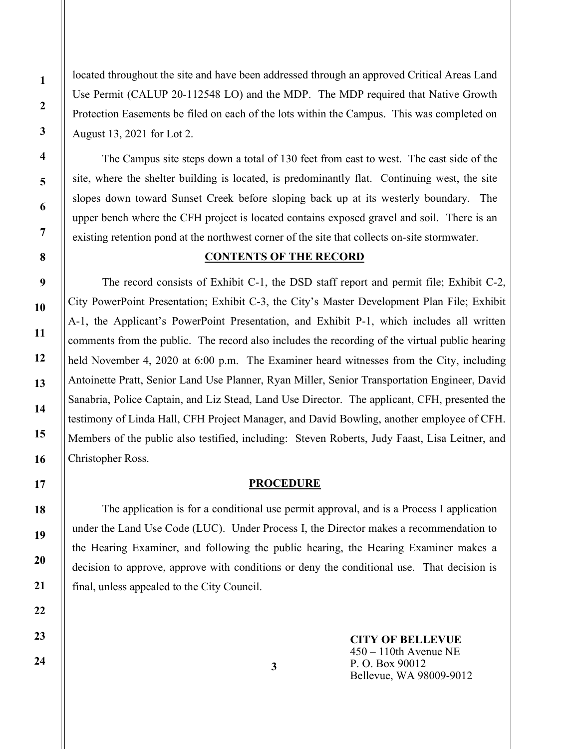located throughout the site and have been addressed through an approved Critical Areas Land Use Permit (CALUP 20-112548 LO) and the MDP. The MDP required that Native Growth Protection Easements be filed on each of the lots within the Campus. This was completed on August 13, 2021 for Lot 2.

 The Campus site steps down a total of 130 feet from east to west. The east side of the site, where the shelter building is located, is predominantly flat. Continuing west, the site slopes down toward Sunset Creek before sloping back up at its westerly boundary. The upper bench where the CFH project is located contains exposed gravel and soil. There is an existing retention pond at the northwest corner of the site that collects on-site stormwater.

# CONTENTS OF THE RECORD

 The record consists of Exhibit C-1, the DSD staff report and permit file; Exhibit C-2, City PowerPoint Presentation; Exhibit C-3, the City's Master Development Plan File; Exhibit A-1, the Applicant's PowerPoint Presentation, and Exhibit P-1, which includes all written comments from the public. The record also includes the recording of the virtual public hearing held November 4, 2020 at 6:00 p.m. The Examiner heard witnesses from the City, including Antoinette Pratt, Senior Land Use Planner, Ryan Miller, Senior Transportation Engineer, David Sanabria, Police Captain, and Liz Stead, Land Use Director. The applicant, CFH, presented the testimony of Linda Hall, CFH Project Manager, and David Bowling, another employee of CFH. Members of the public also testified, including: Steven Roberts, Judy Faast, Lisa Leitner, and Christopher Ross.

#### **PROCEDURE**

 The application is for a conditional use permit approval, and is a Process I application under the Land Use Code (LUC). Under Process I, the Director makes a recommendation to the Hearing Examiner, and following the public hearing, the Hearing Examiner makes a decision to approve, approve with conditions or deny the conditional use. That decision is final, unless appealed to the City Council.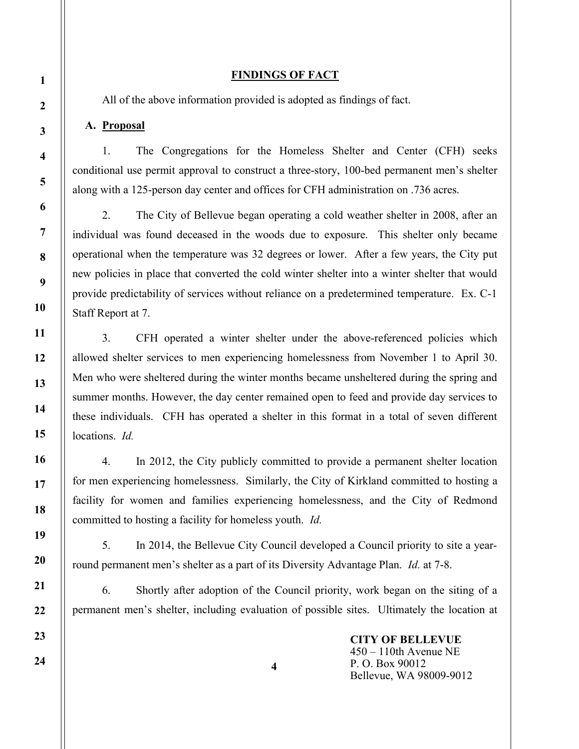# FINDINGS OF FACT

All of the above information provided is adopted as findings of fact.

# A. Proposal

1. The Congregations for the Homeless Shelter and Center (CFH) seeks conditional use permit approval to construct a three-story, 100-bed permanent men's shelter along with a 125-person day center and offices for CFH administration on .736 acres.

2. The City of Bellevue began operating a cold weather shelter in 2008, after an individual was found deceased in the woods due to exposure. This shelter only became operational when the temperature was 32 degrees or lower. After a few years, the City put new policies in place that converted the cold winter shelter into a winter shelter that would provide predictability of services without reliance on a predetermined temperature. Ex. C-1 Staff Report at 7.

3. CFH operated a winter shelter under the above-referenced policies which allowed shelter services to men experiencing homelessness from November 1 to April 30. Men who were sheltered during the winter months became unsheltered during the spring and summer months. However, the day center remained open to feed and provide day services to these individuals. CFH has operated a shelter in this format in a total of seven different locations. *Id.* 

4. In 2012, the City publicly committed to provide a permanent shelter location for men experiencing homelessness. Similarly, the City of Kirkland committed to hosting a facility for women and families experiencing homelessness, and the City of Redmond committed to hosting a facility for homeless youth. Id.

5. In 2014, the Bellevue City Council developed a Council priority to site a yearround permanent men's shelter as a part of its Diversity Advantage Plan. Id. at 7-8.

6. Shortly after adoption of the Council priority, work began on the siting of a permanent men's shelter, including evaluation of possible sites. Ultimately the location at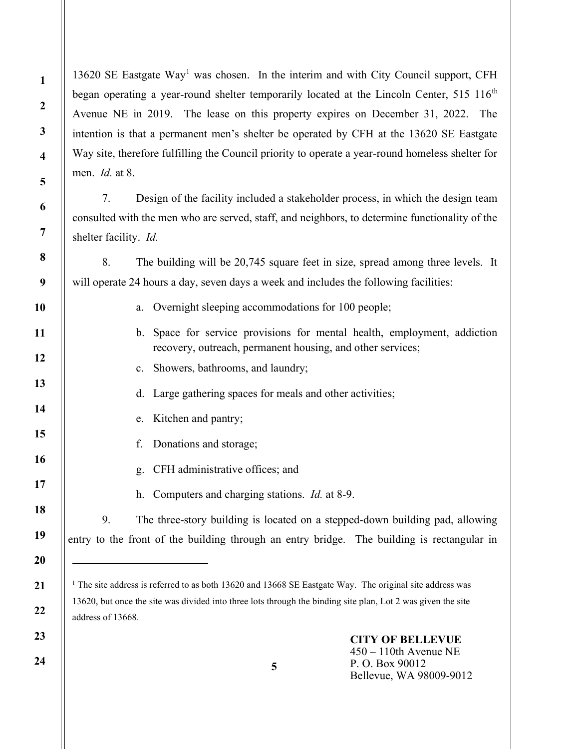13620 SE Eastgate Way<sup>1</sup> was chosen. In the interim and with City Council support, CFH began operating a year-round shelter temporarily located at the Lincoln Center, 515 116<sup>th</sup> Avenue NE in 2019. The lease on this property expires on December 31, 2022. The intention is that a permanent men's shelter be operated by CFH at the 13620 SE Eastgate Way site, therefore fulfilling the Council priority to operate a year-round homeless shelter for men. Id. at 8.

7. Design of the facility included a stakeholder process, in which the design team consulted with the men who are served, staff, and neighbors, to determine functionality of the shelter facility. Id.

8. The building will be 20,745 square feet in size, spread among three levels. It will operate 24 hours a day, seven days a week and includes the following facilities:

- a. Overnight sleeping accommodations for 100 people;
- b. Space for service provisions for mental health, employment, addiction recovery, outreach, permanent housing, and other services;
- c. Showers, bathrooms, and laundry;
- d. Large gathering spaces for meals and other activities;
- e. Kitchen and pantry;
- f. Donations and storage;
- g. CFH administrative offices; and
- h. Computers and charging stations. Id. at 8-9.

9. The three-story building is located on a stepped-down building pad, allowing entry to the front of the building through an entry bridge. The building is rectangular in

<sup>&</sup>lt;sup>1</sup> The site address is referred to as both 13620 and 13668 SE Eastgate Way. The original site address was 13620, but once the site was divided into three lots through the binding site plan, Lot 2 was given the site address of 13668.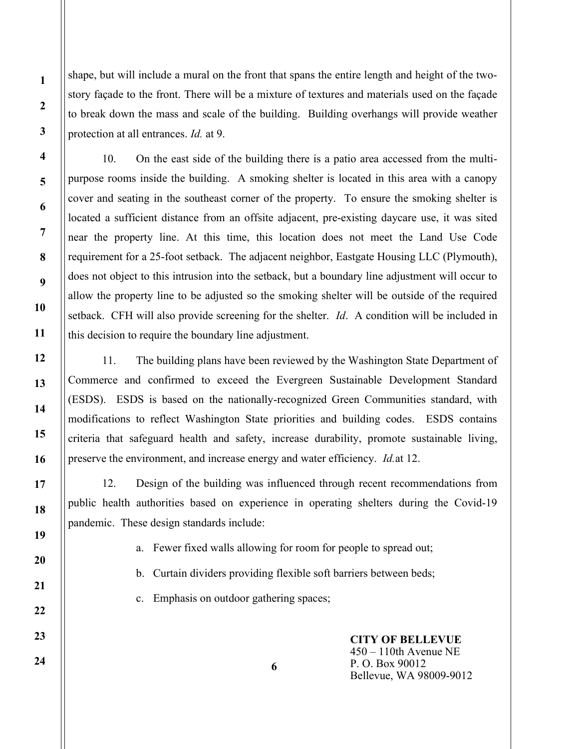shape, but will include a mural on the front that spans the entire length and height of the twostory façade to the front. There will be a mixture of textures and materials used on the façade to break down the mass and scale of the building. Building overhangs will provide weather protection at all entrances. *Id.* at 9.

10. On the east side of the building there is a patio area accessed from the multipurpose rooms inside the building. A smoking shelter is located in this area with a canopy cover and seating in the southeast corner of the property. To ensure the smoking shelter is located a sufficient distance from an offsite adjacent, pre-existing daycare use, it was sited near the property line. At this time, this location does not meet the Land Use Code requirement for a 25-foot setback. The adjacent neighbor, Eastgate Housing LLC (Plymouth), does not object to this intrusion into the setback, but a boundary line adjustment will occur to allow the property line to be adjusted so the smoking shelter will be outside of the required setback. CFH will also provide screening for the shelter. *Id.* A condition will be included in this decision to require the boundary line adjustment.

11. The building plans have been reviewed by the Washington State Department of Commerce and confirmed to exceed the Evergreen Sustainable Development Standard (ESDS). ESDS is based on the nationally-recognized Green Communities standard, with modifications to reflect Washington State priorities and building codes. ESDS contains criteria that safeguard health and safety, increase durability, promote sustainable living, preserve the environment, and increase energy and water efficiency. *Id.* at 12.

12. Design of the building was influenced through recent recommendations from public health authorities based on experience in operating shelters during the Covid-19 pandemic. These design standards include:

a. Fewer fixed walls allowing for room for people to spread out;

b. Curtain dividers providing flexible soft barriers between beds;

6

c. Emphasis on outdoor gathering spaces;

CITY OF BELLEVUE 450 – 110th Avenue NE P. O. Box 90012 Bellevue, WA 98009-9012

1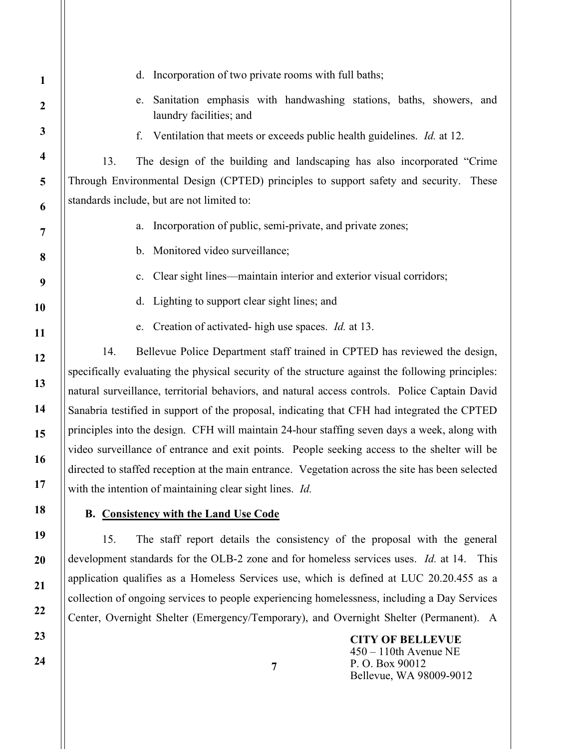| $\mathbf{1}$            | d. Incorporation of two private rooms with full baths;                                              |  |  |  |
|-------------------------|-----------------------------------------------------------------------------------------------------|--|--|--|
| $\boldsymbol{2}$        | Sanitation emphasis with handwashing stations, baths, showers, and<br>e.<br>laundry facilities; and |  |  |  |
| $\mathbf{3}$            | f. Ventilation that meets or exceeds public health guidelines. <i>Id.</i> at 12.                    |  |  |  |
| $\overline{\mathbf{4}}$ | The design of the building and landscaping has also incorporated "Crime"<br>13.                     |  |  |  |
| 5                       | Through Environmental Design (CPTED) principles to support safety and security. These               |  |  |  |
| 6                       | standards include, but are not limited to:                                                          |  |  |  |
| $\overline{7}$          | Incorporation of public, semi-private, and private zones;<br>a.                                     |  |  |  |
| 8                       | b. Monitored video surveillance;                                                                    |  |  |  |
| 9                       | c. Clear sight lines—maintain interior and exterior visual corridors;                               |  |  |  |
| 10                      | Lighting to support clear sight lines; and<br>d.                                                    |  |  |  |
| 11                      | Creation of activated-high use spaces. <i>Id.</i> at 13.<br>e.                                      |  |  |  |
| 12                      | Bellevue Police Department staff trained in CPTED has reviewed the design,<br>14.                   |  |  |  |
| 13                      | specifically evaluating the physical security of the structure against the following principles:    |  |  |  |
|                         | natural surveillance, territorial behaviors, and natural access controls. Police Captain David      |  |  |  |
| 14                      | Sanabria testified in support of the proposal, indicating that CFH had integrated the CPTED         |  |  |  |
| 15                      | principles into the design. CFH will maintain 24-hour staffing seven days a week, along with        |  |  |  |
| 16                      | video surveillance of entrance and exit points. People seeking access to the shelter will be        |  |  |  |
|                         | directed to staffed reception at the main entrance. Vegetation across the site has been selected    |  |  |  |
| 17                      | with the intention of maintaining clear sight lines. Id.                                            |  |  |  |
| 18                      | <b>B.</b> Consistency with the Land Use Code                                                        |  |  |  |
| 19                      | The staff report details the consistency of the proposal with the general<br>15.                    |  |  |  |
| <b>20</b>               | development standards for the OLB-2 zone and for homeless services uses. Id. at 14.<br>This         |  |  |  |
| 21                      | application qualifies as a Homeless Services use, which is defined at LUC 20.20.455 as a            |  |  |  |
|                         |                                                                                                     |  |  |  |

collection of ongoing services to people experiencing homelessness, including a Day Services Center, Overnight Shelter (Emergency/Temporary), and Overnight Shelter (Permanent). A

> CITY OF BELLEVUE 450 – 110th Avenue NE P. O. Box 90012 Bellevue, WA 98009-9012

22

23

24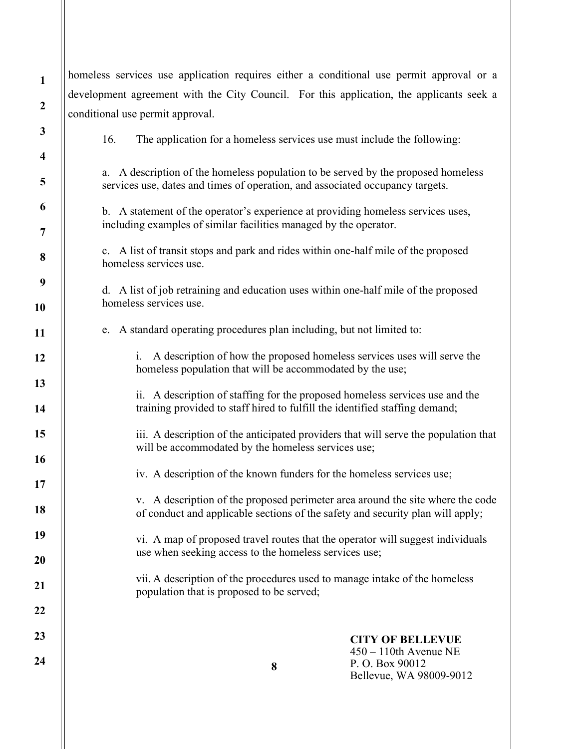homeless services use application requires either a conditional use permit approval or a development agreement with the City Council. For this application, the applicants seek a conditional use permit approval. 16. The application for a homeless services use must include the following: a. A description of the homeless population to be served by the proposed homeless services use, dates and times of operation, and associated occupancy targets. b. A statement of the operator's experience at providing homeless services uses, including examples of similar facilities managed by the operator. c. A list of transit stops and park and rides within one-half mile of the proposed homeless services use. d. A list of job retraining and education uses within one-half mile of the proposed homeless services use. e. A standard operating procedures plan including, but not limited to: i. A description of how the proposed homeless services uses will serve the homeless population that will be accommodated by the use; ii. A description of staffing for the proposed homeless services use and the training provided to staff hired to fulfill the identified staffing demand; iii. A description of the anticipated providers that will serve the population that will be accommodated by the homeless services use; iv. A description of the known funders for the homeless services use; v. A description of the proposed perimeter area around the site where the code of conduct and applicable sections of the safety and security plan will apply; vi. A map of proposed travel routes that the operator will suggest individuals use when seeking access to the homeless services use; vii. A description of the procedures used to manage intake of the homeless population that is proposed to be served;

1

2

3

4

5

6

7

8

9

10

11

12

13

14

15

16

17

18

19

20

21

22

23

24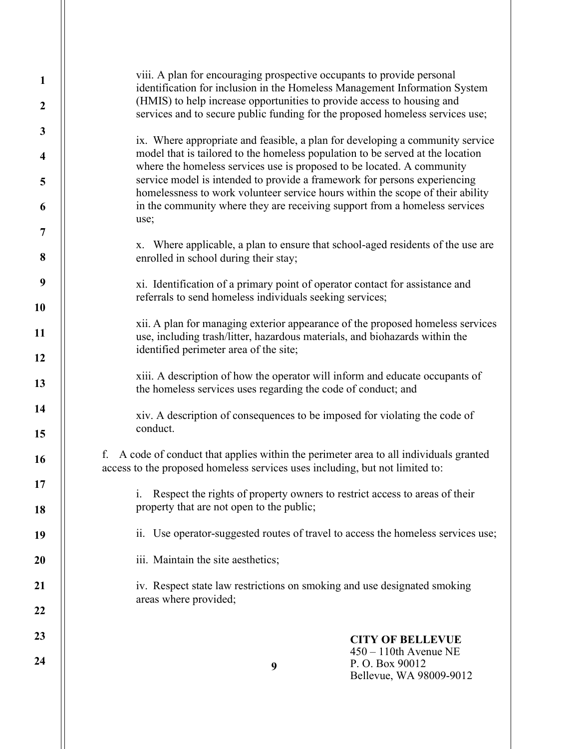| $\mathbf{1}$<br>$\boldsymbol{2}$ | viii. A plan for encouraging prospective occupants to provide personal<br>identification for inclusion in the Homeless Management Information System<br>(HMIS) to help increase opportunities to provide access to housing and<br>services and to secure public funding for the proposed homeless services use; |  |  |  |  |  |
|----------------------------------|-----------------------------------------------------------------------------------------------------------------------------------------------------------------------------------------------------------------------------------------------------------------------------------------------------------------|--|--|--|--|--|
| $\mathbf{3}$                     |                                                                                                                                                                                                                                                                                                                 |  |  |  |  |  |
| $\overline{\mathbf{4}}$          | ix. Where appropriate and feasible, a plan for developing a community service<br>model that is tailored to the homeless population to be served at the location<br>where the homeless services use is proposed to be located. A community                                                                       |  |  |  |  |  |
| 5                                | service model is intended to provide a framework for persons experiencing<br>homelessness to work volunteer service hours within the scope of their ability                                                                                                                                                     |  |  |  |  |  |
| 6                                | in the community where they are receiving support from a homeless services<br>use;                                                                                                                                                                                                                              |  |  |  |  |  |
| 7                                |                                                                                                                                                                                                                                                                                                                 |  |  |  |  |  |
| 8                                | x. Where applicable, a plan to ensure that school-aged residents of the use are<br>enrolled in school during their stay;                                                                                                                                                                                        |  |  |  |  |  |
| 9                                | xi. Identification of a primary point of operator contact for assistance and<br>referrals to send homeless individuals seeking services;                                                                                                                                                                        |  |  |  |  |  |
| 10                               |                                                                                                                                                                                                                                                                                                                 |  |  |  |  |  |
| 11                               | xii. A plan for managing exterior appearance of the proposed homeless services<br>use, including trash/litter, hazardous materials, and biohazards within the                                                                                                                                                   |  |  |  |  |  |
| 12                               | identified perimeter area of the site;                                                                                                                                                                                                                                                                          |  |  |  |  |  |
| 13                               | xiii. A description of how the operator will inform and educate occupants of<br>the homeless services uses regarding the code of conduct; and                                                                                                                                                                   |  |  |  |  |  |
| 14<br>15                         | xiv. A description of consequences to be imposed for violating the code of<br>conduct.                                                                                                                                                                                                                          |  |  |  |  |  |
| 16                               | A code of conduct that applies within the perimeter area to all individuals granted<br>f.<br>access to the proposed homeless services uses including, but not limited to:                                                                                                                                       |  |  |  |  |  |
| 17                               |                                                                                                                                                                                                                                                                                                                 |  |  |  |  |  |
| 18                               | Respect the rights of property owners to restrict access to areas of their<br>i.<br>property that are not open to the public;                                                                                                                                                                                   |  |  |  |  |  |
| 19                               | ii. Use operator-suggested routes of travel to access the homeless services use;                                                                                                                                                                                                                                |  |  |  |  |  |
| 20                               | iii. Maintain the site aesthetics;                                                                                                                                                                                                                                                                              |  |  |  |  |  |
| 21                               | iv. Respect state law restrictions on smoking and use designated smoking<br>areas where provided;                                                                                                                                                                                                               |  |  |  |  |  |
| 22                               |                                                                                                                                                                                                                                                                                                                 |  |  |  |  |  |
| 23                               | <b>CITY OF BELLEVUE</b><br>$450 - 110$ th Avenue NE                                                                                                                                                                                                                                                             |  |  |  |  |  |
| 24                               | P.O. Box 90012<br>9<br>Bellevue, WA 98009-9012                                                                                                                                                                                                                                                                  |  |  |  |  |  |
|                                  |                                                                                                                                                                                                                                                                                                                 |  |  |  |  |  |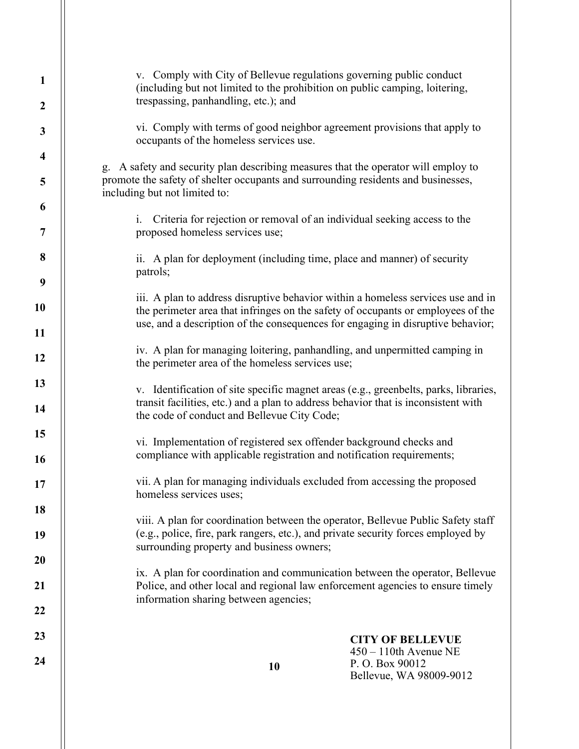| 1<br>$\boldsymbol{2}$ | v. Comply with City of Bellevue regulations governing public conduct<br>(including but not limited to the prohibition on public camping, loitering,<br>trespassing, panhandling, etc.); and                                                                                                                                                                                               |  |  |  |  |  |
|-----------------------|-------------------------------------------------------------------------------------------------------------------------------------------------------------------------------------------------------------------------------------------------------------------------------------------------------------------------------------------------------------------------------------------|--|--|--|--|--|
| 3                     | vi. Comply with terms of good neighbor agreement provisions that apply to                                                                                                                                                                                                                                                                                                                 |  |  |  |  |  |
| 4                     | occupants of the homeless services use.                                                                                                                                                                                                                                                                                                                                                   |  |  |  |  |  |
| 5                     | g. A safety and security plan describing measures that the operator will employ to<br>promote the safety of shelter occupants and surrounding residents and businesses,<br>including but not limited to:                                                                                                                                                                                  |  |  |  |  |  |
| 6                     |                                                                                                                                                                                                                                                                                                                                                                                           |  |  |  |  |  |
| 7                     | Criteria for rejection or removal of an individual seeking access to the<br>$\mathbf{i}$ .<br>proposed homeless services use;                                                                                                                                                                                                                                                             |  |  |  |  |  |
| 8                     | ii. A plan for deployment (including time, place and manner) of security                                                                                                                                                                                                                                                                                                                  |  |  |  |  |  |
| 9                     | patrols;                                                                                                                                                                                                                                                                                                                                                                                  |  |  |  |  |  |
| 10                    | iii. A plan to address disruptive behavior within a homeless services use and in<br>the perimeter area that infringes on the safety of occupants or employees of the<br>use, and a description of the consequences for engaging in disruptive behavior;<br>iv. A plan for managing loitering, panhandling, and unpermitted camping in<br>the perimeter area of the homeless services use; |  |  |  |  |  |
| 11                    |                                                                                                                                                                                                                                                                                                                                                                                           |  |  |  |  |  |
| 12                    |                                                                                                                                                                                                                                                                                                                                                                                           |  |  |  |  |  |
| 13                    | v. Identification of site specific magnet areas (e.g., greenbelts, parks, libraries,                                                                                                                                                                                                                                                                                                      |  |  |  |  |  |
| 14                    | transit facilities, etc.) and a plan to address behavior that is inconsistent with<br>the code of conduct and Bellevue City Code;                                                                                                                                                                                                                                                         |  |  |  |  |  |
| 15                    | vi. Implementation of registered sex offender background checks and                                                                                                                                                                                                                                                                                                                       |  |  |  |  |  |
| <b>16</b>             | compliance with applicable registration and notification requirements;                                                                                                                                                                                                                                                                                                                    |  |  |  |  |  |
| 17                    | vii. A plan for managing individuals excluded from accessing the proposed<br>homeless services uses;                                                                                                                                                                                                                                                                                      |  |  |  |  |  |
| 18                    | viii. A plan for coordination between the operator, Bellevue Public Safety staff                                                                                                                                                                                                                                                                                                          |  |  |  |  |  |
| 19                    | (e.g., police, fire, park rangers, etc.), and private security forces employed by                                                                                                                                                                                                                                                                                                         |  |  |  |  |  |
| 20                    | surrounding property and business owners;                                                                                                                                                                                                                                                                                                                                                 |  |  |  |  |  |
| 21                    | ix. A plan for coordination and communication between the operator, Bellevue<br>Police, and other local and regional law enforcement agencies to ensure timely                                                                                                                                                                                                                            |  |  |  |  |  |
| 22                    | information sharing between agencies;                                                                                                                                                                                                                                                                                                                                                     |  |  |  |  |  |
|                       |                                                                                                                                                                                                                                                                                                                                                                                           |  |  |  |  |  |
| 23                    | <b>CITY OF BELLEVUE</b><br>$450 - 110$ th Avenue NE                                                                                                                                                                                                                                                                                                                                       |  |  |  |  |  |
| 24                    | P.O. Box 90012<br>10<br>Bellevue, WA 98009-9012                                                                                                                                                                                                                                                                                                                                           |  |  |  |  |  |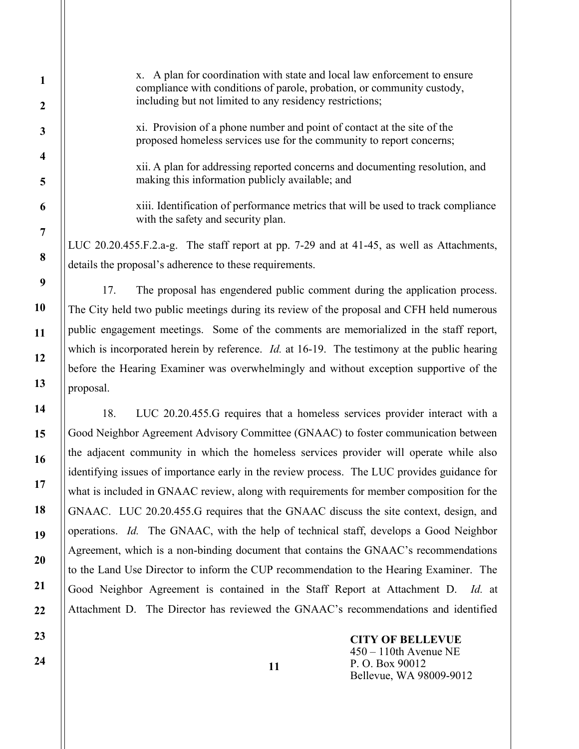x. A plan for coordination with state and local law enforcement to ensure compliance with conditions of parole, probation, or community custody, including but not limited to any residency restrictions;

xi. Provision of a phone number and point of contact at the site of the proposed homeless services use for the community to report concerns;

xii. A plan for addressing reported concerns and documenting resolution, and making this information publicly available; and

xiii. Identification of performance metrics that will be used to track compliance with the safety and security plan.

LUC 20.20.455.F.2.a-g. The staff report at pp. 7-29 and at 41-45, as well as Attachments, details the proposal's adherence to these requirements.

17. The proposal has engendered public comment during the application process. The City held two public meetings during its review of the proposal and CFH held numerous public engagement meetings. Some of the comments are memorialized in the staff report, which is incorporated herein by reference. *Id.* at 16-19. The testimony at the public hearing before the Hearing Examiner was overwhelmingly and without exception supportive of the proposal.

18. LUC 20.20.455.G requires that a homeless services provider interact with a Good Neighbor Agreement Advisory Committee (GNAAC) to foster communication between the adjacent community in which the homeless services provider will operate while also identifying issues of importance early in the review process. The LUC provides guidance for what is included in GNAAC review, along with requirements for member composition for the GNAAC. LUC 20.20.455.G requires that the GNAAC discuss the site context, design, and operations. Id. The GNAAC, with the help of technical staff, develops a Good Neighbor Agreement, which is a non-binding document that contains the GNAAC's recommendations to the Land Use Director to inform the CUP recommendation to the Hearing Examiner. The Good Neighbor Agreement is contained in the Staff Report at Attachment D. Id. at Attachment D. The Director has reviewed the GNAAC's recommendations and identified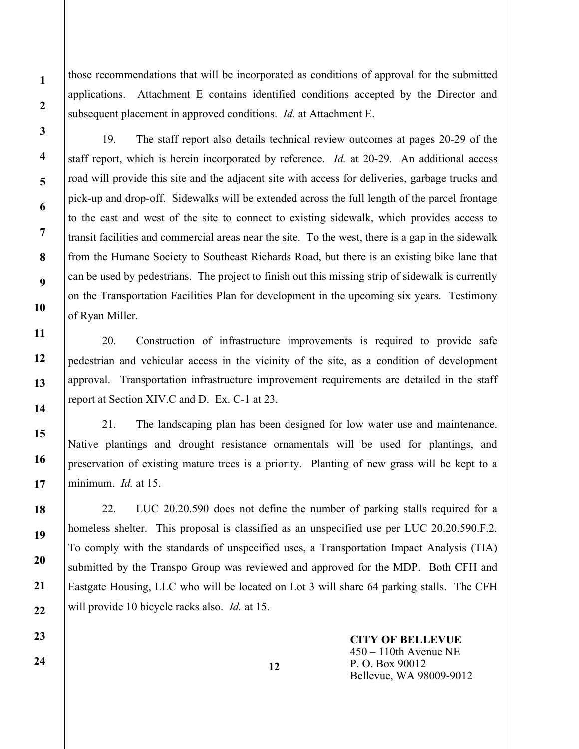those recommendations that will be incorporated as conditions of approval for the submitted applications. Attachment E contains identified conditions accepted by the Director and subsequent placement in approved conditions. *Id.* at Attachment E.

19. The staff report also details technical review outcomes at pages 20-29 of the staff report, which is herein incorporated by reference. *Id.* at 20-29. An additional access road will provide this site and the adjacent site with access for deliveries, garbage trucks and pick-up and drop-off. Sidewalks will be extended across the full length of the parcel frontage to the east and west of the site to connect to existing sidewalk, which provides access to transit facilities and commercial areas near the site. To the west, there is a gap in the sidewalk from the Humane Society to Southeast Richards Road, but there is an existing bike lane that can be used by pedestrians. The project to finish out this missing strip of sidewalk is currently on the Transportation Facilities Plan for development in the upcoming six years. Testimony of Ryan Miller.

20. Construction of infrastructure improvements is required to provide safe pedestrian and vehicular access in the vicinity of the site, as a condition of development approval. Transportation infrastructure improvement requirements are detailed in the staff report at Section XIV.C and D. Ex. C-1 at 23.

21. The landscaping plan has been designed for low water use and maintenance. Native plantings and drought resistance ornamentals will be used for plantings, and preservation of existing mature trees is a priority. Planting of new grass will be kept to a minimum. *Id.* at 15.

22. LUC 20.20.590 does not define the number of parking stalls required for a homeless shelter. This proposal is classified as an unspecified use per LUC 20.20.590.F.2. To comply with the standards of unspecified uses, a Transportation Impact Analysis (TIA) submitted by the Transpo Group was reviewed and approved for the MDP. Both CFH and Eastgate Housing, LLC who will be located on Lot 3 will share 64 parking stalls. The CFH will provide 10 bicycle racks also. *Id.* at 15.

> CITY OF BELLEVUE 450 – 110th Avenue NE P. O. Box 90012 Bellevue, WA 98009-9012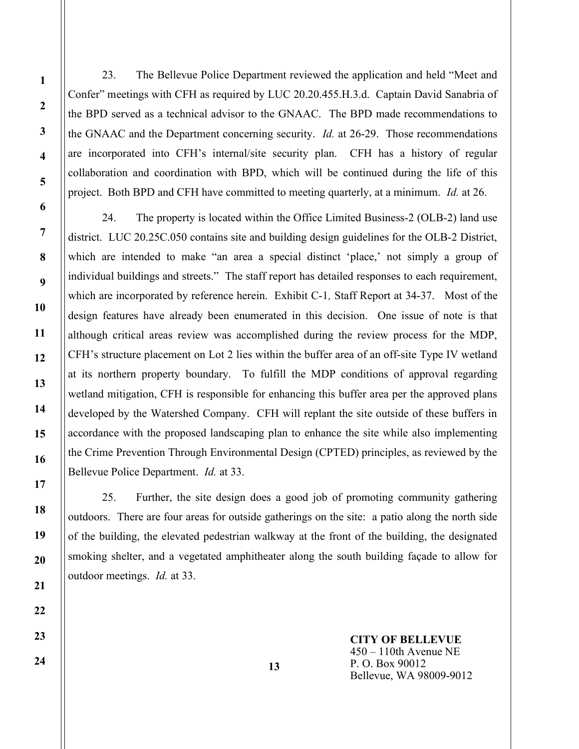23. The Bellevue Police Department reviewed the application and held "Meet and Confer" meetings with CFH as required by LUC 20.20.455.H.3.d. Captain David Sanabria of the BPD served as a technical advisor to the GNAAC. The BPD made recommendations to the GNAAC and the Department concerning security. *Id.* at 26-29. Those recommendations are incorporated into CFH's internal/site security plan. CFH has a history of regular collaboration and coordination with BPD, which will be continued during the life of this project. Both BPD and CFH have committed to meeting quarterly, at a minimum. Id. at 26.

24. The property is located within the Office Limited Business-2 (OLB-2) land use district. LUC 20.25C.050 contains site and building design guidelines for the OLB-2 District, which are intended to make "an area a special distinct 'place,' not simply a group of individual buildings and streets." The staff report has detailed responses to each requirement, which are incorporated by reference herein. Exhibit C-1, Staff Report at 34-37. Most of the design features have already been enumerated in this decision. One issue of note is that although critical areas review was accomplished during the review process for the MDP, CFH's structure placement on Lot 2 lies within the buffer area of an off-site Type IV wetland at its northern property boundary. To fulfill the MDP conditions of approval regarding wetland mitigation, CFH is responsible for enhancing this buffer area per the approved plans developed by the Watershed Company. CFH will replant the site outside of these buffers in accordance with the proposed landscaping plan to enhance the site while also implementing the Crime Prevention Through Environmental Design (CPTED) principles, as reviewed by the Bellevue Police Department. *Id.* at 33.

25. Further, the site design does a good job of promoting community gathering outdoors. There are four areas for outside gatherings on the site: a patio along the north side of the building, the elevated pedestrian walkway at the front of the building, the designated smoking shelter, and a vegetated amphitheater along the south building façade to allow for outdoor meetings. Id. at 33.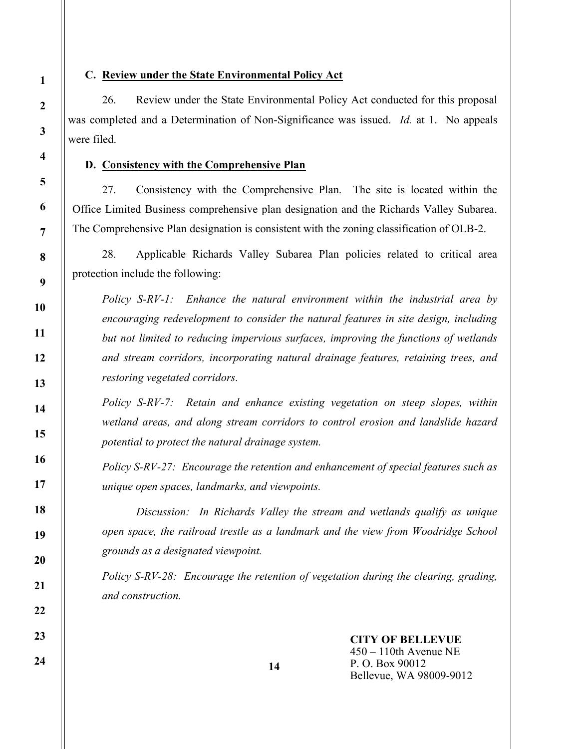#### C. Review under the State Environmental Policy Act

26. Review under the State Environmental Policy Act conducted for this proposal was completed and a Determination of Non-Significance was issued. *Id.* at 1. No appeals were filed.

#### D. Consistency with the Comprehensive Plan

27. Consistency with the Comprehensive Plan. The site is located within the Office Limited Business comprehensive plan designation and the Richards Valley Subarea. The Comprehensive Plan designation is consistent with the zoning classification of OLB-2.

28. Applicable Richards Valley Subarea Plan policies related to critical area protection include the following:

Policy S-RV-1: Enhance the natural environment within the industrial area by encouraging redevelopment to consider the natural features in site design, including but not limited to reducing impervious surfaces, improving the functions of wetlands and stream corridors, incorporating natural drainage features, retaining trees, and restoring vegetated corridors.

Policy S-RV-7: Retain and enhance existing vegetation on steep slopes, within wetland areas, and along stream corridors to control erosion and landslide hazard potential to protect the natural drainage system.

Policy S-RV-27: Encourage the retention and enhancement of special features such as unique open spaces, landmarks, and viewpoints.

 Discussion: In Richards Valley the stream and wetlands qualify as unique open space, the railroad trestle as a landmark and the view from Woodridge School grounds as a designated viewpoint.

Policy S-RV-28: Encourage the retention of vegetation during the clearing, grading, and construction.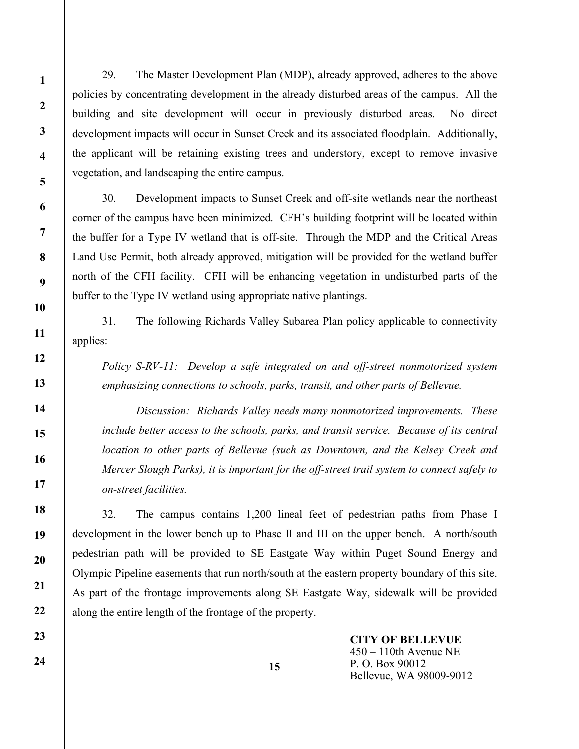29. The Master Development Plan (MDP), already approved, adheres to the above policies by concentrating development in the already disturbed areas of the campus. All the building and site development will occur in previously disturbed areas. No direct development impacts will occur in Sunset Creek and its associated floodplain. Additionally, the applicant will be retaining existing trees and understory, except to remove invasive vegetation, and landscaping the entire campus.

30. Development impacts to Sunset Creek and off-site wetlands near the northeast corner of the campus have been minimized. CFH's building footprint will be located within the buffer for a Type IV wetland that is off-site. Through the MDP and the Critical Areas Land Use Permit, both already approved, mitigation will be provided for the wetland buffer north of the CFH facility. CFH will be enhancing vegetation in undisturbed parts of the buffer to the Type IV wetland using appropriate native plantings.

31. The following Richards Valley Subarea Plan policy applicable to connectivity applies:

Policy S-RV-11: Develop a safe integrated on and off-street nonmotorized system emphasizing connections to schools, parks, transit, and other parts of Bellevue.

 Discussion: Richards Valley needs many nonmotorized improvements. These include better access to the schools, parks, and transit service. Because of its central location to other parts of Bellevue (such as Downtown, and the Kelsey Creek and Mercer Slough Parks), it is important for the off-street trail system to connect safely to on-street facilities.

32. The campus contains 1,200 lineal feet of pedestrian paths from Phase I development in the lower bench up to Phase II and III on the upper bench. A north/south pedestrian path will be provided to SE Eastgate Way within Puget Sound Energy and Olympic Pipeline easements that run north/south at the eastern property boundary of this site. As part of the frontage improvements along SE Eastgate Way, sidewalk will be provided along the entire length of the frontage of the property.

15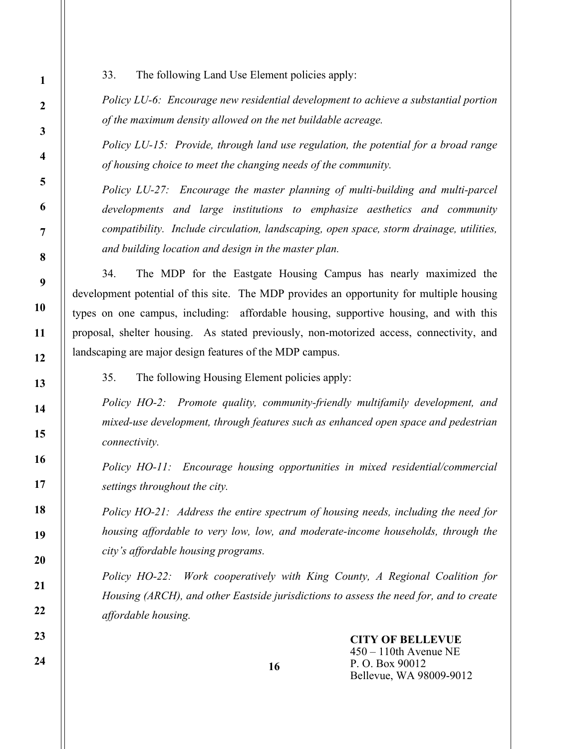33. The following Land Use Element policies apply:

Policy LU-6: Encourage new residential development to achieve a substantial portion of the maximum density allowed on the net buildable acreage.

Policy LU-15: Provide, through land use regulation, the potential for a broad range of housing choice to meet the changing needs of the community.

Policy LU-27: Encourage the master planning of multi-building and multi-parcel developments and large institutions to emphasize aesthetics and community compatibility. Include circulation, landscaping, open space, storm drainage, utilities, and building location and design in the master plan.

34. The MDP for the Eastgate Housing Campus has nearly maximized the development potential of this site. The MDP provides an opportunity for multiple housing types on one campus, including: affordable housing, supportive housing, and with this proposal, shelter housing. As stated previously, non-motorized access, connectivity, and landscaping are major design features of the MDP campus.

35. The following Housing Element policies apply:

Policy HO-2: Promote quality, community-friendly multifamily development, and mixed-use development, through features such as enhanced open space and pedestrian connectivity.

Policy HO-11: Encourage housing opportunities in mixed residential/commercial settings throughout the city.

Policy HO-21: Address the entire spectrum of housing needs, including the need for housing affordable to very low, low, and moderate-income households, through the city's affordable housing programs.

Policy HO-22: Work cooperatively with King County, A Regional Coalition for Housing (ARCH), and other Eastside jurisdictions to assess the need for, and to create affordable housing.

16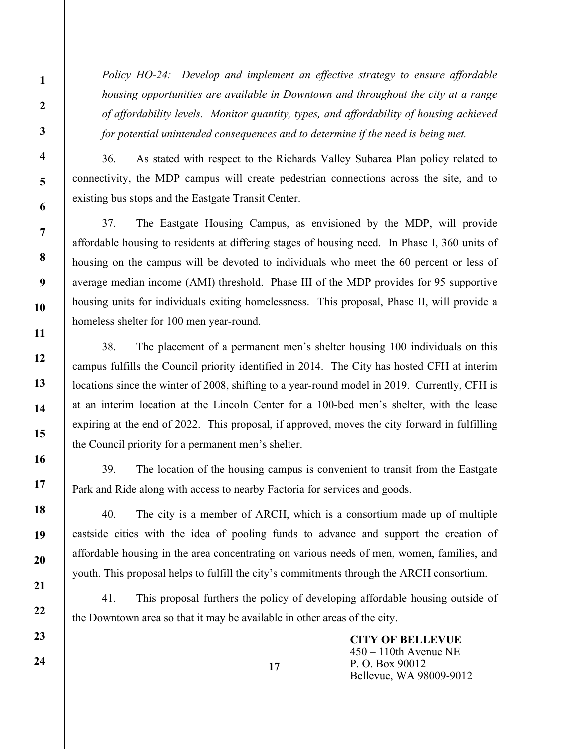36. As stated with respect to the Richards Valley Subarea Plan policy related to connectivity, the MDP campus will create pedestrian connections across the site, and to existing bus stops and the Eastgate Transit Center.

37. The Eastgate Housing Campus, as envisioned by the MDP, will provide affordable housing to residents at differing stages of housing need. In Phase I, 360 units of housing on the campus will be devoted to individuals who meet the 60 percent or less of average median income (AMI) threshold. Phase III of the MDP provides for 95 supportive housing units for individuals exiting homelessness. This proposal, Phase II, will provide a homeless shelter for 100 men year-round.

38. The placement of a permanent men's shelter housing 100 individuals on this campus fulfills the Council priority identified in 2014. The City has hosted CFH at interim locations since the winter of 2008, shifting to a year-round model in 2019. Currently, CFH is at an interim location at the Lincoln Center for a 100-bed men's shelter, with the lease expiring at the end of 2022. This proposal, if approved, moves the city forward in fulfilling the Council priority for a permanent men's shelter.

39. The location of the housing campus is convenient to transit from the Eastgate Park and Ride along with access to nearby Factoria for services and goods.

40. The city is a member of ARCH, which is a consortium made up of multiple eastside cities with the idea of pooling funds to advance and support the creation of affordable housing in the area concentrating on various needs of men, women, families, and youth. This proposal helps to fulfill the city's commitments through the ARCH consortium.

41. This proposal furthers the policy of developing affordable housing outside of the Downtown area so that it may be available in other areas of the city.

17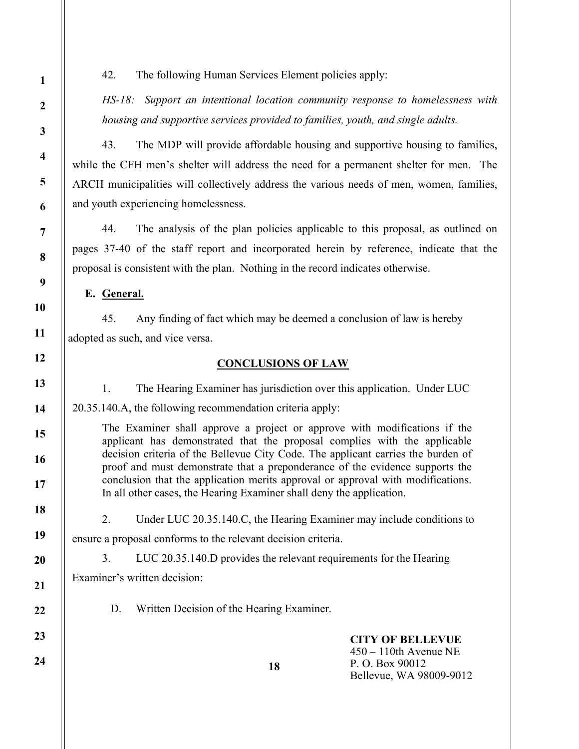42. The following Human Services Element policies apply:

HS-18: Support an intentional location community response to homelessness with housing and supportive services provided to families, youth, and single adults.

43. The MDP will provide affordable housing and supportive housing to families, while the CFH men's shelter will address the need for a permanent shelter for men. The ARCH municipalities will collectively address the various needs of men, women, families, and youth experiencing homelessness.

44. The analysis of the plan policies applicable to this proposal, as outlined on pages 37-40 of the staff report and incorporated herein by reference, indicate that the proposal is consistent with the plan. Nothing in the record indicates otherwise.

E. General.

45. Any finding of fact which may be deemed a conclusion of law is hereby adopted as such, and vice versa.

## CONCLUSIONS OF LAW

1. The Hearing Examiner has jurisdiction over this application. Under LUC

20.35.140.A, the following recommendation criteria apply:

The Examiner shall approve a project or approve with modifications if the applicant has demonstrated that the proposal complies with the applicable decision criteria of the Bellevue City Code. The applicant carries the burden of proof and must demonstrate that a preponderance of the evidence supports the conclusion that the application merits approval or approval with modifications. In all other cases, the Hearing Examiner shall deny the application.

 2. Under LUC 20.35.140.C, the Hearing Examiner may include conditions to ensure a proposal conforms to the relevant decision criteria.

3. LUC 20.35.140.D provides the relevant requirements for the Hearing

Examiner's written decision:

D. Written Decision of the Hearing Examiner.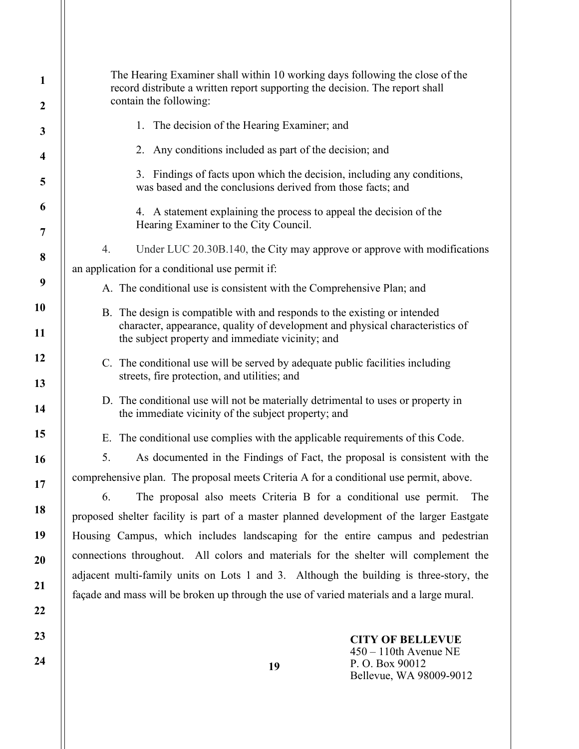| 1                       | The Hearing Examiner shall within 10 working days following the close of the<br>record distribute a written report supporting the decision. The report shall                   |  |  |  |  |
|-------------------------|--------------------------------------------------------------------------------------------------------------------------------------------------------------------------------|--|--|--|--|
| $\boldsymbol{2}$        | contain the following:                                                                                                                                                         |  |  |  |  |
| 3                       | 1. The decision of the Hearing Examiner; and                                                                                                                                   |  |  |  |  |
| $\overline{\mathbf{4}}$ | 2. Any conditions included as part of the decision; and                                                                                                                        |  |  |  |  |
| 5                       | 3. Findings of facts upon which the decision, including any conditions,<br>was based and the conclusions derived from those facts; and                                         |  |  |  |  |
| 6<br>7                  | 4. A statement explaining the process to appeal the decision of the<br>Hearing Examiner to the City Council.                                                                   |  |  |  |  |
|                         | Under LUC 20.30B.140, the City may approve or approve with modifications<br>4.                                                                                                 |  |  |  |  |
| 8                       | an application for a conditional use permit if:                                                                                                                                |  |  |  |  |
| 9                       | A. The conditional use is consistent with the Comprehensive Plan; and                                                                                                          |  |  |  |  |
| 10                      | B. The design is compatible with and responds to the existing or intended                                                                                                      |  |  |  |  |
| 11                      | character, appearance, quality of development and physical characteristics of<br>the subject property and immediate vicinity; and                                              |  |  |  |  |
| 12                      | C. The conditional use will be served by adequate public facilities including                                                                                                  |  |  |  |  |
| 13                      | streets, fire protection, and utilities; and                                                                                                                                   |  |  |  |  |
| 14                      | D. The conditional use will not be materially detrimental to uses or property in<br>the immediate vicinity of the subject property; and                                        |  |  |  |  |
| 15                      | E. The conditional use complies with the applicable requirements of this Code.                                                                                                 |  |  |  |  |
| 16                      | 5.<br>As documented in the Findings of Fact, the proposal is consistent with the                                                                                               |  |  |  |  |
| 17                      | comprehensive plan. The proposal meets Criteria A for a conditional use permit, above.                                                                                         |  |  |  |  |
| 18                      | The proposal also meets Criteria B for a conditional use permit.<br>6.<br>The                                                                                                  |  |  |  |  |
| 19                      | proposed shelter facility is part of a master planned development of the larger Eastgate                                                                                       |  |  |  |  |
|                         | Housing Campus, which includes landscaping for the entire campus and pedestrian                                                                                                |  |  |  |  |
| 20                      | connections throughout. All colors and materials for the shelter will complement the<br>adjacent multi-family units on Lots 1 and 3. Although the building is three-story, the |  |  |  |  |
| 21                      | façade and mass will be broken up through the use of varied materials and a large mural.                                                                                       |  |  |  |  |
| 22                      |                                                                                                                                                                                |  |  |  |  |
| 23                      | <b>CITY OF BELLEVUE</b>                                                                                                                                                        |  |  |  |  |
| 24                      | $450 - 110$ th Avenue NE<br>P.O. Box 90012<br>19<br>Bellevue, WA 98009-9012                                                                                                    |  |  |  |  |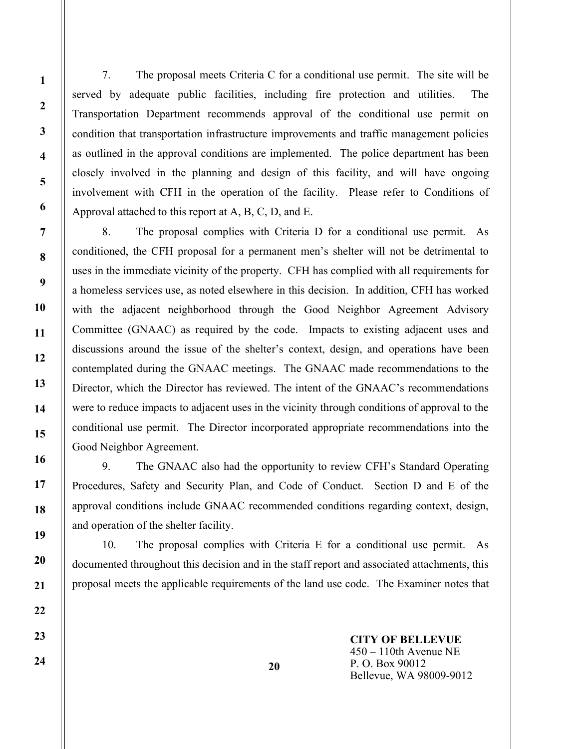7. The proposal meets Criteria C for a conditional use permit. The site will be served by adequate public facilities, including fire protection and utilities. The Transportation Department recommends approval of the conditional use permit on condition that transportation infrastructure improvements and traffic management policies as outlined in the approval conditions are implemented. The police department has been closely involved in the planning and design of this facility, and will have ongoing involvement with CFH in the operation of the facility. Please refer to Conditions of Approval attached to this report at A, B, C, D, and E.

 8. The proposal complies with Criteria D for a conditional use permit. As conditioned, the CFH proposal for a permanent men's shelter will not be detrimental to uses in the immediate vicinity of the property. CFH has complied with all requirements for a homeless services use, as noted elsewhere in this decision. In addition, CFH has worked with the adjacent neighborhood through the Good Neighbor Agreement Advisory Committee (GNAAC) as required by the code. Impacts to existing adjacent uses and discussions around the issue of the shelter's context, design, and operations have been contemplated during the GNAAC meetings. The GNAAC made recommendations to the Director, which the Director has reviewed. The intent of the GNAAC's recommendations were to reduce impacts to adjacent uses in the vicinity through conditions of approval to the conditional use permit. The Director incorporated appropriate recommendations into the Good Neighbor Agreement.

9. The GNAAC also had the opportunity to review CFH's Standard Operating Procedures, Safety and Security Plan, and Code of Conduct. Section D and E of the approval conditions include GNAAC recommended conditions regarding context, design, and operation of the shelter facility.

 10. The proposal complies with Criteria E for a conditional use permit. As documented throughout this decision and in the staff report and associated attachments, this proposal meets the applicable requirements of the land use code. The Examiner notes that

> CITY OF BELLEVUE 450 – 110th Avenue NE P. O. Box 90012 Bellevue, WA 98009-9012

20

24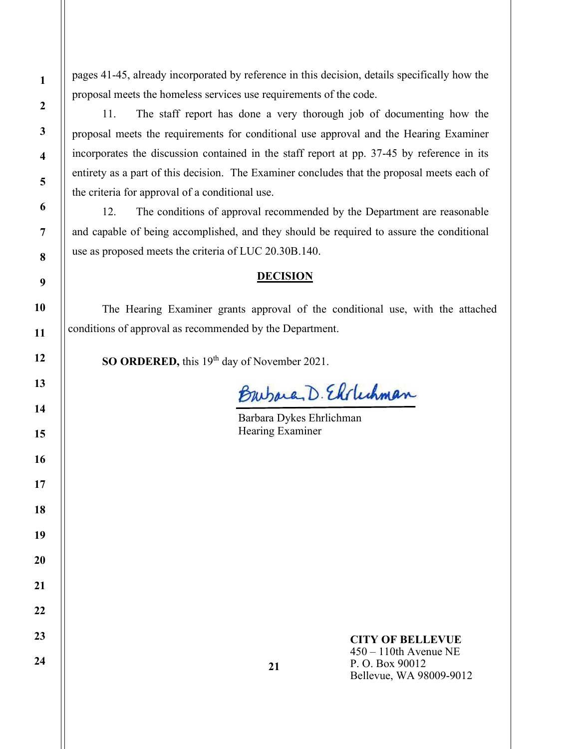pages 41-45, already incorporated by reference in this decision, details specifically how the proposal meets the homeless services use requirements of the code.

11. The staff report has done a very thorough job of documenting how the proposal meets the requirements for conditional use approval and the Hearing Examiner incorporates the discussion contained in the staff report at pp. 37-45 by reference in its entirety as a part of this decision. The Examiner concludes that the proposal meets each of the criteria for approval of a conditional use.

 12. The conditions of approval recommended by the Department are reasonable and capable of being accomplished, and they should be required to assure the conditional use as proposed meets the criteria of LUC 20.30B.140.

#### **DECISION**

The Hearing Examiner grants approval of the conditional use, with the attached conditions of approval as recommended by the Department.

SO ORDERED, this 19<sup>th</sup> day of November 2021.

Burbara, D. Elvlechman

Barbara Dykes Ehrlichman Hearing Examiner

1

2

3

4

5

CITY OF BELLEVUE 450 – 110th Avenue NE

P. O. Box 90012 Bellevue, WA 98009-9012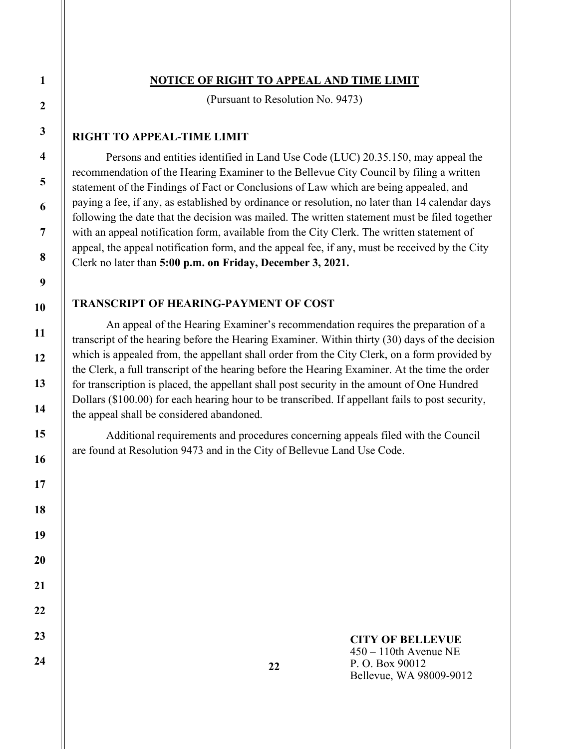# NOTICE OF RIGHT TO APPEAL AND TIME LIMIT

(Pursuant to Resolution No. 9473)

# RIGHT TO APPEAL-TIME LIMIT

Persons and entities identified in Land Use Code (LUC) 20.35.150, may appeal the recommendation of the Hearing Examiner to the Bellevue City Council by filing a written statement of the Findings of Fact or Conclusions of Law which are being appealed, and paying a fee, if any, as established by ordinance or resolution, no later than 14 calendar days following the date that the decision was mailed. The written statement must be filed together with an appeal notification form, available from the City Clerk. The written statement of appeal, the appeal notification form, and the appeal fee, if any, must be received by the City Clerk no later than 5:00 p.m. on Friday, December 3, 2021.

# TRANSCRIPT OF HEARING-PAYMENT OF COST

An appeal of the Hearing Examiner's recommendation requires the preparation of a transcript of the hearing before the Hearing Examiner. Within thirty (30) days of the decision which is appealed from, the appellant shall order from the City Clerk, on a form provided by the Clerk, a full transcript of the hearing before the Hearing Examiner. At the time the order for transcription is placed, the appellant shall post security in the amount of One Hundred Dollars (\$100.00) for each hearing hour to be transcribed. If appellant fails to post security, the appeal shall be considered abandoned.

Additional requirements and procedures concerning appeals filed with the Council are found at Resolution 9473 and in the City of Bellevue Land Use Code.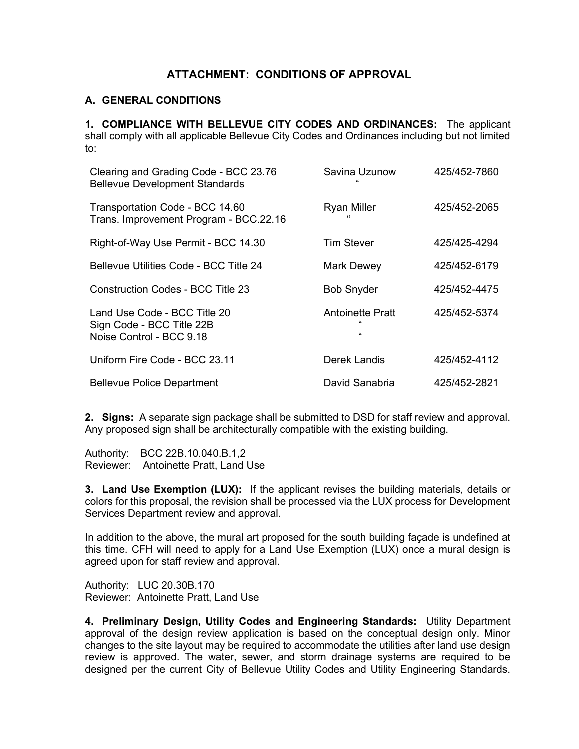# ATTACHMENT: CONDITIONS OF APPROVAL

# A. GENERAL CONDITIONS

 1. COMPLIANCE WITH BELLEVUE CITY CODES AND ORDINANCES: The applicant shall comply with all applicable Bellevue City Codes and Ordinances including but not limited to:

| Clearing and Grading Code - BCC 23.76<br><b>Bellevue Development Standards</b>        | Savina Uzunow<br>$\epsilon$             | 425/452-7860 |
|---------------------------------------------------------------------------------------|-----------------------------------------|--------------|
| Transportation Code - BCC 14.60<br>Trans. Improvement Program - BCC.22.16             | <b>Ryan Miller</b>                      | 425/452-2065 |
| Right-of-Way Use Permit - BCC 14.30                                                   | <b>Tim Stever</b>                       | 425/425-4294 |
| <b>Bellevue Utilities Code - BCC Title 24</b>                                         | <b>Mark Dewey</b>                       | 425/452-6179 |
| Construction Codes - BCC Title 23                                                     | <b>Bob Snyder</b>                       | 425/452-4475 |
| Land Use Code - BCC Title 20<br>Sign Code - BCC Title 22B<br>Noise Control - BCC 9.18 | <b>Antoinette Pratt</b><br>$\mathbf{g}$ | 425/452-5374 |
| Uniform Fire Code - BCC 23.11                                                         | Derek Landis                            | 425/452-4112 |
| <b>Bellevue Police Department</b>                                                     | David Sanabria                          | 425/452-2821 |

2. Signs: A separate sign package shall be submitted to DSD for staff review and approval. Any proposed sign shall be architecturally compatible with the existing building.

Authority: BCC 22B.10.040.B.1,2 Reviewer: Antoinette Pratt, Land Use

3. Land Use Exemption (LUX): If the applicant revises the building materials, details or colors for this proposal, the revision shall be processed via the LUX process for Development Services Department review and approval.

In addition to the above, the mural art proposed for the south building façade is undefined at this time. CFH will need to apply for a Land Use Exemption (LUX) once a mural design is agreed upon for staff review and approval.

Authority: LUC 20.30B.170 Reviewer: Antoinette Pratt, Land Use

4. Preliminary Design, Utility Codes and Engineering Standards: Utility Department approval of the design review application is based on the conceptual design only. Minor changes to the site layout may be required to accommodate the utilities after land use design review is approved. The water, sewer, and storm drainage systems are required to be designed per the current City of Bellevue Utility Codes and Utility Engineering Standards.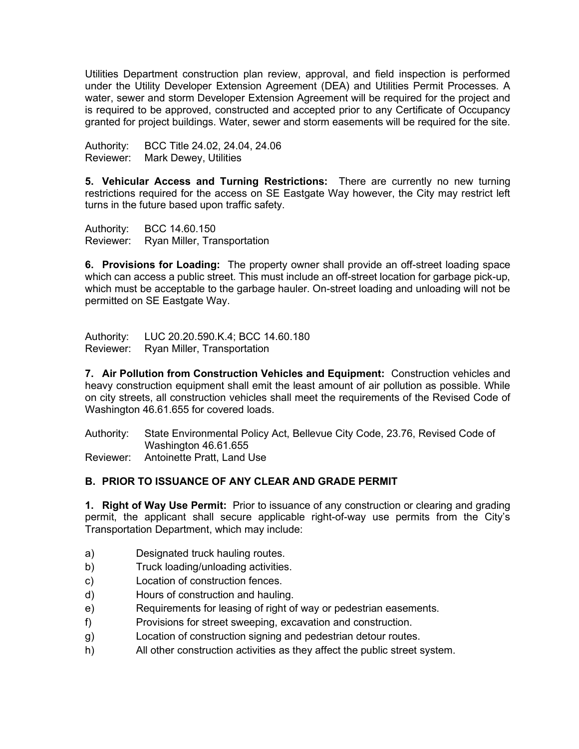Utilities Department construction plan review, approval, and field inspection is performed under the Utility Developer Extension Agreement (DEA) and Utilities Permit Processes. A water, sewer and storm Developer Extension Agreement will be required for the project and is required to be approved, constructed and accepted prior to any Certificate of Occupancy granted for project buildings. Water, sewer and storm easements will be required for the site.

Authority: BCC Title 24.02, 24.04, 24.06 Reviewer: Mark Dewey, Utilities

5. Vehicular Access and Turning Restrictions: There are currently no new turning restrictions required for the access on SE Eastgate Way however, the City may restrict left turns in the future based upon traffic safety.

Authority: BCC 14.60.150 Reviewer: Ryan Miller, Transportation

6. Provisions for Loading: The property owner shall provide an off-street loading space which can access a public street. This must include an off-street location for garbage pick-up, which must be acceptable to the garbage hauler. On-street loading and unloading will not be permitted on SE Eastgate Way.

Authority: LUC 20.20.590.K.4; BCC 14.60.180 Reviewer: Ryan Miller, Transportation

7. Air Pollution from Construction Vehicles and Equipment: Construction vehicles and heavy construction equipment shall emit the least amount of air pollution as possible. While on city streets, all construction vehicles shall meet the requirements of the Revised Code of Washington 46.61.655 for covered loads.

Authority: State Environmental Policy Act, Bellevue City Code, 23.76, Revised Code of Washington 46.61.655 Reviewer: Antoinette Pratt, Land Use

B. PRIOR TO ISSUANCE OF ANY CLEAR AND GRADE PERMIT

1. Right of Way Use Permit: Prior to issuance of any construction or clearing and grading permit, the applicant shall secure applicable right-of-way use permits from the City's Transportation Department, which may include:

- a) Designated truck hauling routes.
- b) Truck loading/unloading activities.
- c) Location of construction fences.
- d) Hours of construction and hauling.
- e) Requirements for leasing of right of way or pedestrian easements.
- f) Provisions for street sweeping, excavation and construction.
- g) Location of construction signing and pedestrian detour routes.
- h) All other construction activities as they affect the public street system.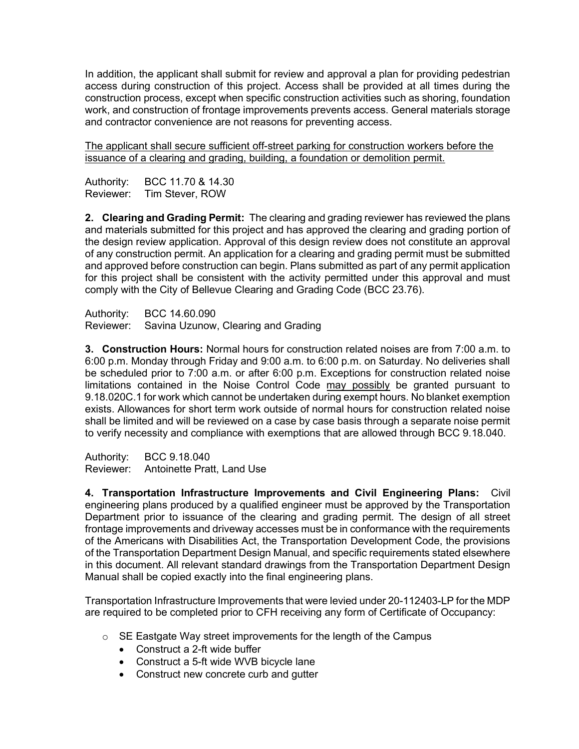In addition, the applicant shall submit for review and approval a plan for providing pedestrian access during construction of this project. Access shall be provided at all times during the construction process, except when specific construction activities such as shoring, foundation work, and construction of frontage improvements prevents access. General materials storage and contractor convenience are not reasons for preventing access.

The applicant shall secure sufficient off-street parking for construction workers before the issuance of a clearing and grading, building, a foundation or demolition permit.

Authority: BCC 11.70 & 14.30 Reviewer: Tim Stever, ROW

2. Clearing and Grading Permit: The clearing and grading reviewer has reviewed the plans and materials submitted for this project and has approved the clearing and grading portion of the design review application. Approval of this design review does not constitute an approval of any construction permit. An application for a clearing and grading permit must be submitted and approved before construction can begin. Plans submitted as part of any permit application for this project shall be consistent with the activity permitted under this approval and must comply with the City of Bellevue Clearing and Grading Code (BCC 23.76).

Authority: BCC 14.60.090 Reviewer: Savina Uzunow, Clearing and Grading

3. Construction Hours: Normal hours for construction related noises are from 7:00 a.m. to 6:00 p.m. Monday through Friday and 9:00 a.m. to 6:00 p.m. on Saturday. No deliveries shall be scheduled prior to 7:00 a.m. or after 6:00 p.m. Exceptions for construction related noise limitations contained in the Noise Control Code may possibly be granted pursuant to 9.18.020C.1 for work which cannot be undertaken during exempt hours. No blanket exemption exists. Allowances for short term work outside of normal hours for construction related noise shall be limited and will be reviewed on a case by case basis through a separate noise permit to verify necessity and compliance with exemptions that are allowed through BCC 9.18.040.

Authority: BCC 9.18.040 Reviewer: Antoinette Pratt, Land Use

4. Transportation Infrastructure Improvements and Civil Engineering Plans: Civil engineering plans produced by a qualified engineer must be approved by the Transportation Department prior to issuance of the clearing and grading permit. The design of all street frontage improvements and driveway accesses must be in conformance with the requirements of the Americans with Disabilities Act, the Transportation Development Code, the provisions of the Transportation Department Design Manual, and specific requirements stated elsewhere in this document. All relevant standard drawings from the Transportation Department Design Manual shall be copied exactly into the final engineering plans.

Transportation Infrastructure Improvements that were levied under 20-112403-LP for the MDP are required to be completed prior to CFH receiving any form of Certificate of Occupancy:

- o SE Eastgate Way street improvements for the length of the Campus
	- Construct a 2-ft wide buffer
	- Construct a 5-ft wide WVB bicycle lane
	- Construct new concrete curb and gutter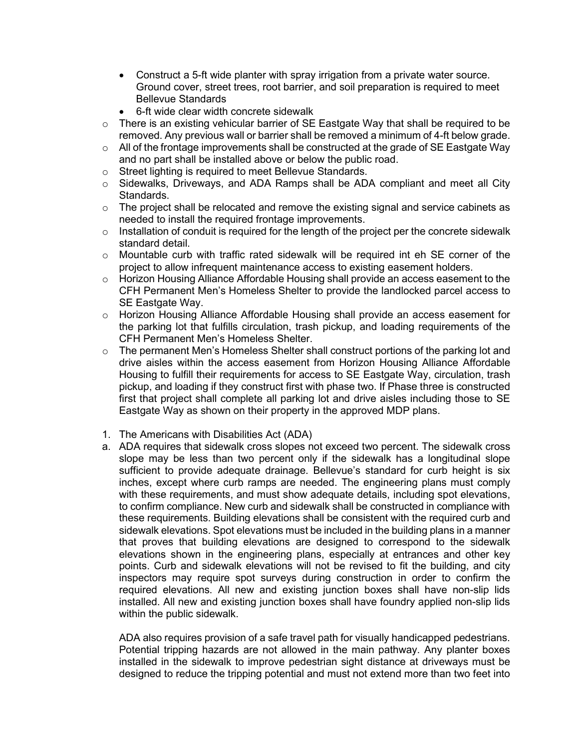- Construct a 5-ft wide planter with spray irrigation from a private water source. Ground cover, street trees, root barrier, and soil preparation is required to meet Bellevue Standards
- 6-ft wide clear width concrete sidewalk
- $\circ$  There is an existing vehicular barrier of SE Eastgate Way that shall be required to be removed. Any previous wall or barrier shall be removed a minimum of 4-ft below grade.
- $\circ$  All of the frontage improvements shall be constructed at the grade of SE Eastgate Way and no part shall be installed above or below the public road.
- o Street lighting is required to meet Bellevue Standards.
- o Sidewalks, Driveways, and ADA Ramps shall be ADA compliant and meet all City Standards.
- $\circ$  The project shall be relocated and remove the existing signal and service cabinets as needed to install the required frontage improvements.
- $\circ$  Installation of conduit is required for the length of the project per the concrete sidewalk standard detail.
- o Mountable curb with traffic rated sidewalk will be required int eh SE corner of the project to allow infrequent maintenance access to existing easement holders.
- $\circ$  Horizon Housing Alliance Affordable Housing shall provide an access easement to the CFH Permanent Men's Homeless Shelter to provide the landlocked parcel access to SE Eastgate Way.
- o Horizon Housing Alliance Affordable Housing shall provide an access easement for the parking lot that fulfills circulation, trash pickup, and loading requirements of the CFH Permanent Men's Homeless Shelter.
- $\circ$  The permanent Men's Homeless Shelter shall construct portions of the parking lot and drive aisles within the access easement from Horizon Housing Alliance Affordable Housing to fulfill their requirements for access to SE Eastgate Way, circulation, trash pickup, and loading if they construct first with phase two. If Phase three is constructed first that project shall complete all parking lot and drive aisles including those to SE Eastgate Way as shown on their property in the approved MDP plans.
- 1. The Americans with Disabilities Act (ADA)
- a. ADA requires that sidewalk cross slopes not exceed two percent. The sidewalk cross slope may be less than two percent only if the sidewalk has a longitudinal slope sufficient to provide adequate drainage. Bellevue's standard for curb height is six inches, except where curb ramps are needed. The engineering plans must comply with these requirements, and must show adequate details, including spot elevations, to confirm compliance. New curb and sidewalk shall be constructed in compliance with these requirements. Building elevations shall be consistent with the required curb and sidewalk elevations. Spot elevations must be included in the building plans in a manner that proves that building elevations are designed to correspond to the sidewalk elevations shown in the engineering plans, especially at entrances and other key points. Curb and sidewalk elevations will not be revised to fit the building, and city inspectors may require spot surveys during construction in order to confirm the required elevations. All new and existing junction boxes shall have non-slip lids installed. All new and existing junction boxes shall have foundry applied non-slip lids within the public sidewalk.

ADA also requires provision of a safe travel path for visually handicapped pedestrians. Potential tripping hazards are not allowed in the main pathway. Any planter boxes installed in the sidewalk to improve pedestrian sight distance at driveways must be designed to reduce the tripping potential and must not extend more than two feet into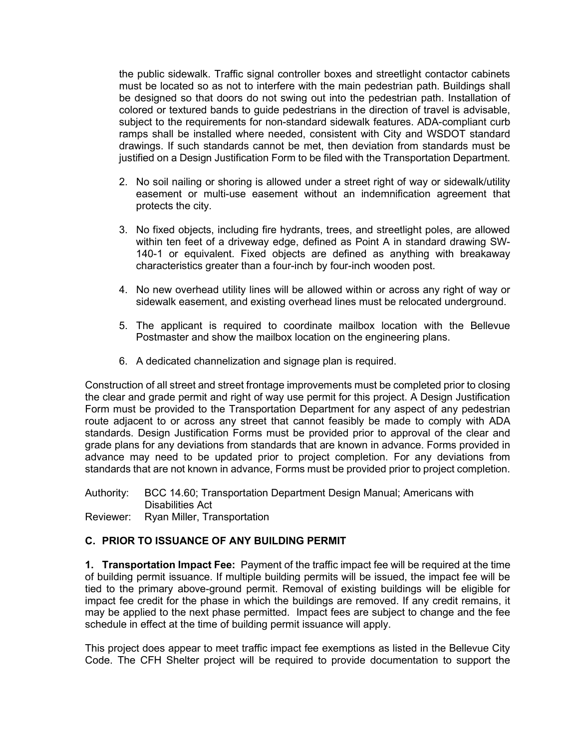the public sidewalk. Traffic signal controller boxes and streetlight contactor cabinets must be located so as not to interfere with the main pedestrian path. Buildings shall be designed so that doors do not swing out into the pedestrian path. Installation of colored or textured bands to guide pedestrians in the direction of travel is advisable, subject to the requirements for non-standard sidewalk features. ADA-compliant curb ramps shall be installed where needed, consistent with City and WSDOT standard drawings. If such standards cannot be met, then deviation from standards must be justified on a Design Justification Form to be filed with the Transportation Department.

- 2. No soil nailing or shoring is allowed under a street right of way or sidewalk/utility easement or multi-use easement without an indemnification agreement that protects the city.
- 3. No fixed objects, including fire hydrants, trees, and streetlight poles, are allowed within ten feet of a driveway edge, defined as Point A in standard drawing SW-140-1 or equivalent. Fixed objects are defined as anything with breakaway characteristics greater than a four-inch by four-inch wooden post.
- 4. No new overhead utility lines will be allowed within or across any right of way or sidewalk easement, and existing overhead lines must be relocated underground.
- 5. The applicant is required to coordinate mailbox location with the Bellevue Postmaster and show the mailbox location on the engineering plans.
- 6. A dedicated channelization and signage plan is required.

Construction of all street and street frontage improvements must be completed prior to closing the clear and grade permit and right of way use permit for this project. A Design Justification Form must be provided to the Transportation Department for any aspect of any pedestrian route adjacent to or across any street that cannot feasibly be made to comply with ADA standards. Design Justification Forms must be provided prior to approval of the clear and grade plans for any deviations from standards that are known in advance. Forms provided in advance may need to be updated prior to project completion. For any deviations from standards that are not known in advance, Forms must be provided prior to project completion.

Authority: BCC 14.60; Transportation Department Design Manual; Americans with Disabilities Act

Reviewer: Ryan Miller, Transportation

# C. PRIOR TO ISSUANCE OF ANY BUILDING PERMIT

**1. Transportation Impact Fee:** Payment of the traffic impact fee will be required at the time of building permit issuance. If multiple building permits will be issued, the impact fee will be tied to the primary above-ground permit. Removal of existing buildings will be eligible for impact fee credit for the phase in which the buildings are removed. If any credit remains, it may be applied to the next phase permitted. Impact fees are subject to change and the fee schedule in effect at the time of building permit issuance will apply.

This project does appear to meet traffic impact fee exemptions as listed in the Bellevue City Code. The CFH Shelter project will be required to provide documentation to support the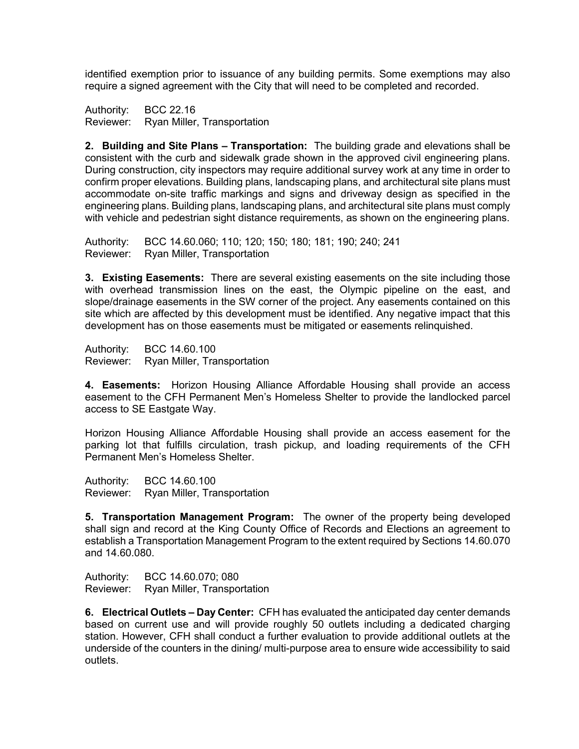identified exemption prior to issuance of any building permits. Some exemptions may also require a signed agreement with the City that will need to be completed and recorded.

Authority: BCC 22.16 Reviewer: Ryan Miller, Transportation

2. Building and Site Plans – Transportation: The building grade and elevations shall be consistent with the curb and sidewalk grade shown in the approved civil engineering plans. During construction, city inspectors may require additional survey work at any time in order to confirm proper elevations. Building plans, landscaping plans, and architectural site plans must accommodate on-site traffic markings and signs and driveway design as specified in the engineering plans. Building plans, landscaping plans, and architectural site plans must comply with vehicle and pedestrian sight distance requirements, as shown on the engineering plans.

Authority: BCC 14.60.060; 110; 120; 150; 180; 181; 190; 240; 241 Reviewer: Ryan Miller, Transportation

**3. Existing Easements:** There are several existing easements on the site including those with overhead transmission lines on the east, the Olympic pipeline on the east, and slope/drainage easements in the SW corner of the project. Any easements contained on this site which are affected by this development must be identified. Any negative impact that this development has on those easements must be mitigated or easements relinquished.

Authority: BCC 14.60.100 Reviewer: Ryan Miller, Transportation

4. Easements: Horizon Housing Alliance Affordable Housing shall provide an access easement to the CFH Permanent Men's Homeless Shelter to provide the landlocked parcel access to SE Eastgate Way.

Horizon Housing Alliance Affordable Housing shall provide an access easement for the parking lot that fulfills circulation, trash pickup, and loading requirements of the CFH Permanent Men's Homeless Shelter.

Authority: BCC 14.60.100 Reviewer: Ryan Miller, Transportation

5. Transportation Management Program: The owner of the property being developed shall sign and record at the King County Office of Records and Elections an agreement to establish a Transportation Management Program to the extent required by Sections 14.60.070 and 14.60.080.

Authority: BCC 14.60.070; 080

Reviewer: Ryan Miller, Transportation

6. Electrical Outlets – Day Center: CFH has evaluated the anticipated day center demands based on current use and will provide roughly 50 outlets including a dedicated charging station. However, CFH shall conduct a further evaluation to provide additional outlets at the underside of the counters in the dining/ multi-purpose area to ensure wide accessibility to said outlets.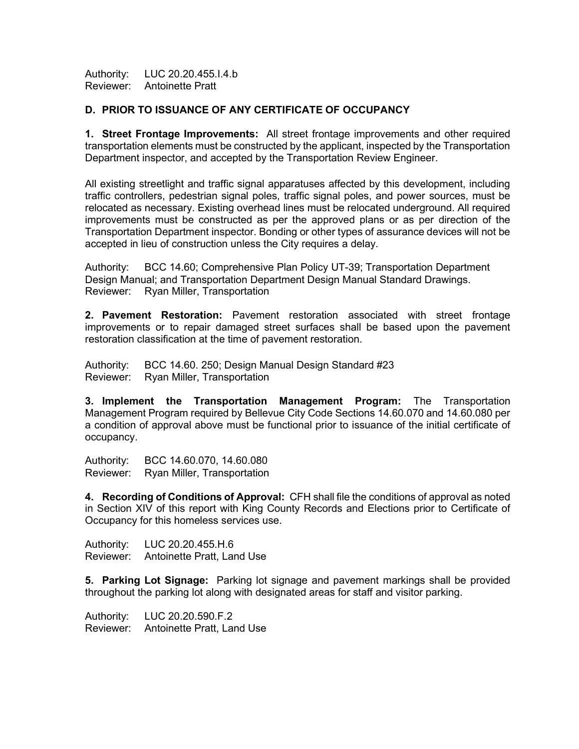Authority: LUC 20.20.455.I.4.b Reviewer: Antoinette Pratt

# D. PRIOR TO ISSUANCE OF ANY CERTIFICATE OF OCCUPANCY

1. Street Frontage Improvements: All street frontage improvements and other required transportation elements must be constructed by the applicant, inspected by the Transportation Department inspector, and accepted by the Transportation Review Engineer.

All existing streetlight and traffic signal apparatuses affected by this development, including traffic controllers, pedestrian signal poles, traffic signal poles, and power sources, must be relocated as necessary. Existing overhead lines must be relocated underground. All required improvements must be constructed as per the approved plans or as per direction of the Transportation Department inspector. Bonding or other types of assurance devices will not be accepted in lieu of construction unless the City requires a delay.

Authority: BCC 14.60; Comprehensive Plan Policy UT-39; Transportation Department Design Manual; and Transportation Department Design Manual Standard Drawings. Reviewer: Ryan Miller, Transportation

2. Pavement Restoration: Pavement restoration associated with street frontage improvements or to repair damaged street surfaces shall be based upon the pavement restoration classification at the time of pavement restoration.

Authority: BCC 14.60. 250; Design Manual Design Standard #23 Reviewer: Ryan Miller, Transportation

3. Implement the Transportation Management Program: The Transportation Management Program required by Bellevue City Code Sections 14.60.070 and 14.60.080 per a condition of approval above must be functional prior to issuance of the initial certificate of occupancy.

Authority: BCC 14.60.070, 14.60.080 Reviewer: Ryan Miller, Transportation

4. Recording of Conditions of Approval: CFH shall file the conditions of approval as noted in Section XIV of this report with King County Records and Elections prior to Certificate of Occupancy for this homeless services use.

Authority: LUC 20.20.455.H.6 Reviewer: Antoinette Pratt, Land Use

5. Parking Lot Signage: Parking lot signage and pavement markings shall be provided throughout the parking lot along with designated areas for staff and visitor parking.

Authority: LUC 20.20.590.F.2 Reviewer: Antoinette Pratt, Land Use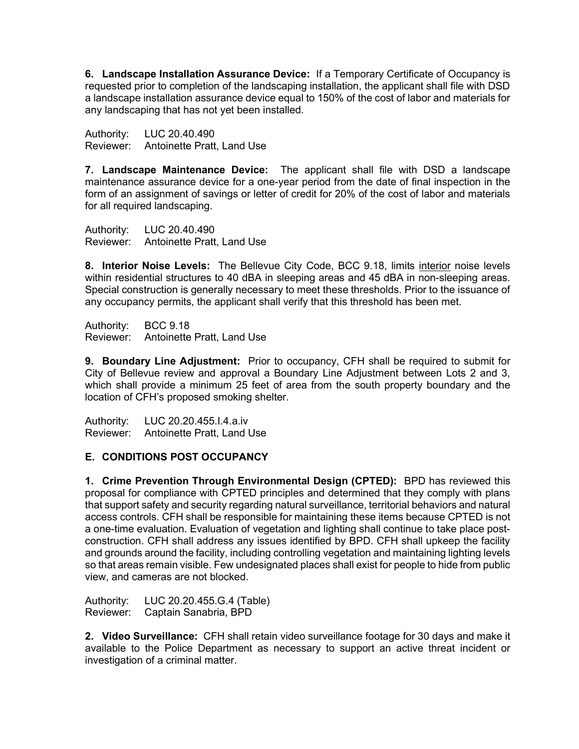6. Landscape Installation Assurance Device: If a Temporary Certificate of Occupancy is requested prior to completion of the landscaping installation, the applicant shall file with DSD a landscape installation assurance device equal to 150% of the cost of labor and materials for any landscaping that has not yet been installed.

Authority: LUC 20.40.490 Reviewer: Antoinette Pratt, Land Use

7. Landscape Maintenance Device: The applicant shall file with DSD a landscape maintenance assurance device for a one-year period from the date of final inspection in the form of an assignment of savings or letter of credit for 20% of the cost of labor and materials for all required landscaping.

Authority: LUC 20.40.490 Reviewer: Antoinette Pratt, Land Use

8. Interior Noise Levels: The Bellevue City Code, BCC 9.18, limits interior noise levels within residential structures to 40 dBA in sleeping areas and 45 dBA in non-sleeping areas. Special construction is generally necessary to meet these thresholds. Prior to the issuance of any occupancy permits, the applicant shall verify that this threshold has been met.

Authority: BCC 9.18 Reviewer: Antoinette Pratt, Land Use

**9. Boundary Line Adjustment:** Prior to occupancy, CFH shall be required to submit for City of Bellevue review and approval a Boundary Line Adjustment between Lots 2 and 3, which shall provide a minimum 25 feet of area from the south property boundary and the location of CFH's proposed smoking shelter.

Authority: LUC 20.20.455.I.4.a.iv Reviewer: Antoinette Pratt, Land Use

# E. CONDITIONS POST OCCUPANCY

1. Crime Prevention Through Environmental Design (CPTED): BPD has reviewed this proposal for compliance with CPTED principles and determined that they comply with plans that support safety and security regarding natural surveillance, territorial behaviors and natural access controls. CFH shall be responsible for maintaining these items because CPTED is not a one-time evaluation. Evaluation of vegetation and lighting shall continue to take place postconstruction. CFH shall address any issues identified by BPD. CFH shall upkeep the facility and grounds around the facility, including controlling vegetation and maintaining lighting levels so that areas remain visible. Few undesignated places shall exist for people to hide from public view, and cameras are not blocked.

Authority: LUC 20.20.455.G.4 (Table) Reviewer: Captain Sanabria, BPD

2. Video Surveillance: CFH shall retain video surveillance footage for 30 days and make it available to the Police Department as necessary to support an active threat incident or investigation of a criminal matter.